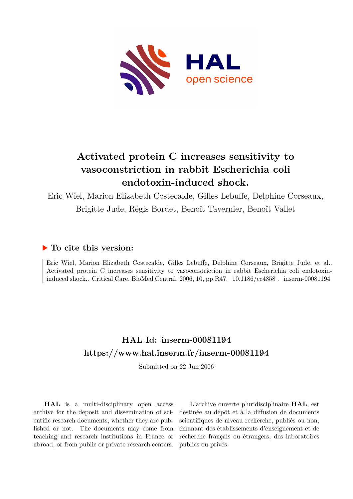

# **Activated protein C increases sensitivity to vasoconstriction in rabbit Escherichia coli endotoxin-induced shock.**

Eric Wiel, Marion Elizabeth Costecalde, Gilles Lebuffe, Delphine Corseaux, Brigitte Jude, Régis Bordet, Benoît Tavernier, Benoît Vallet

## **To cite this version:**

Eric Wiel, Marion Elizabeth Costecalde, Gilles Lebuffe, Delphine Corseaux, Brigitte Jude, et al.. Activated protein C increases sensitivity to vasoconstriction in rabbit Escherichia coli endotoxininduced shock.. Critical Care, BioMed Central, 2006, 10, pp.R47.  $10.1186$ /cc4858. inserm-00081194

## **HAL Id: inserm-00081194 <https://www.hal.inserm.fr/inserm-00081194>**

Submitted on 22 Jun 2006

**HAL** is a multi-disciplinary open access archive for the deposit and dissemination of scientific research documents, whether they are published or not. The documents may come from teaching and research institutions in France or abroad, or from public or private research centers.

L'archive ouverte pluridisciplinaire **HAL**, est destinée au dépôt et à la diffusion de documents scientifiques de niveau recherche, publiés ou non, émanant des établissements d'enseignement et de recherche français ou étrangers, des laboratoires publics ou privés.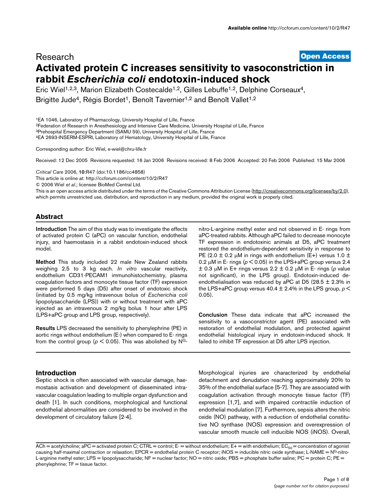### [Open Access](http://www.biomedcentral.com/info/about/charter/) Research **Activated protein C increases sensitivity to vasoconstriction in rabbit Escherichia coli endotoxin-induced shock**

Eric Wiel<sup>1,2,3</sup>, Marion Elizabeth Costecalde<sup>1,2</sup>, Gilles Lebuffe<sup>1,2</sup>, Delphine Corseaux<sup>4</sup>,

Brigitte Jude<sup>4</sup>, Régis Bordet<sup>1</sup>, Benoît Tavernier<sup>1,2</sup> and Benoît Vallet<sup>1,2</sup>

<sup>1</sup>EA 1046, Laboratory of Pharmacology, University Hospital of Lille, France

<sup>2</sup>Federation of Research in Anesthesiology and Intensive Care Medicine, University Hospital of Lille, France

<sup>3</sup>Prehospital Emergency Department (SAMU 59), University Hospital of Lille, France

<sup>4</sup>EA 2693-INSERM-ESPRI, Laboratory of Hematology, University Hospital of Lille, France

Corresponding author: Eric Wiel, e-wiel@chru-lille.fr

Received: 12 Dec 2005 Revisions requested: 16 Jan 2006 Revisions received: 8 Feb 2006 Accepted: 20 Feb 2006 Published: 15 Mar 2006

Critical Care 2006, 10:R47 (doi:10.1186/cc4858)

[This article is online at: http://ccforum.com/content/10/2/R47](http://ccforum.com/content/10/2/R47)

© 2006 Wiel et al.; licensee BioMed Central Ltd.

This is an open access article distributed under the terms of the Creative Commons Attribution License [\(http://creativecommons.org/licenses/by/2.0\)](http://creativecommons.org/licenses/by/2.0), which permits unrestricted use, distribution, and reproduction in any medium, provided the original work is properly cited.

### **Abstract**

Introduction The aim of this study was to investigate the effects of activated protein C (aPC) on vascular function, endothelial injury, and haemostasis in a rabbit endotoxin-induced shock model.

Method This study included 22 male New Zealand rabbits weighing 2.5 to 3 kg each. In vitro vascular reactivity, endothelium CD31-PECAM1 immunohistochemistry, plasma coagulation factors and monocyte tissue factor (TF) expression were performed 5 days (D5) after onset of endotoxic shock (initiated by 0.5 mg/kg intravenous bolus of Escherichia coli lipopolysaccharide (LPS)) with or without treatment with aPC injected as an intravenous 2 mg/kg bolus 1 hour after LPS (LPS+aPC group and LPS group, respectively).

Results LPS decreased the sensitivity to phenylephrine (PE) in aortic rings without endothelium (E-) when compared to E- rings from the control group ( $p < 0.05$ ). This was abolished by N<sup>G</sup>-

### **Introduction**

Septic shock is often associated with vascular damage, haemostasis activation and development of disseminated intravascular coagulation leading to multiple organ dysfunction and death [1]. In such conditions, morphological and functional endothelial abnormalities are considered to be involved in the development of circulatory failure [2-[4](#page-8-0)].

nitro-L-arginine methyl ester and not observed in E- rings from aPC-treated rabbits. Although aPC failed to decrease monocyte TF expression in endotoxinic animals at D5, aPC treatment restored the endothelium-dependent sensitivity in response to PE (2.0  $\pm$  0.2 µM in rings with endothelium (E+) versus 1.0  $\pm$ 0.2  $\mu$ M in E- rings ( $\rho$  < 0.05) in the LPS+aPC group versus 2.4  $\pm$  0.3 µM in E+ rings versus 2.2  $\pm$  0.2 µM in E- rings (p value not significant), in the LPS group). Endotoxin-induced deendothelialisation was reduced by aPC at D5 (28.5  $\pm$  2.3% in the LPS+aPC group versus 40.4  $\pm$  2.4% in the LPS group,  $p \le$ 0.05).

Conclusion These data indicate that aPC increased the sensitivity to a vasoconstrictor agent (PE) associated with restoration of endothelial modulation, and protected against endothelial histological injury in endotoxin-induced shock. It failed to inhibit TF expression at D5 after LPS injection.

Morphological injuries are characterized by endothelial detachment and denudation reaching approximately 20% to 35% of the endothelial surface [5-7]. They are associated with coagulation activation through monocyte tissue factor (TF) expression [1,7], and with impaired contractile induction of endothelial modulation [7]. Furthermore, sepsis alters the nitric oxide (NO) pathway, with a reduction of endothelial constitutive NO synthase (NOS) expression and overexpression of vascular smooth muscle cell inducible NOS (iNOS). Overall,

 $ACh = acetylcholine; aPC = activated protein C; CTRL = control; E= without endothelium; E+= with endothelium; EC<sub>50</sub> = concentration of agonist$ causing half-maximal contraction or relaxation; EPCR = endothelial protein C receptor;  $NOS = \text{inducible nitric oxide}$  synthase; L-NAME =  $N^G$ -nitro-L-arginine methyl ester; LPS = lipopolysaccharide; NF = nuclear factor; NO = nitric oxide; PBS = phosphate buffer saline; PC = protein C; PE =  $pheny$ lephrine;  $TF = t$ issue factor.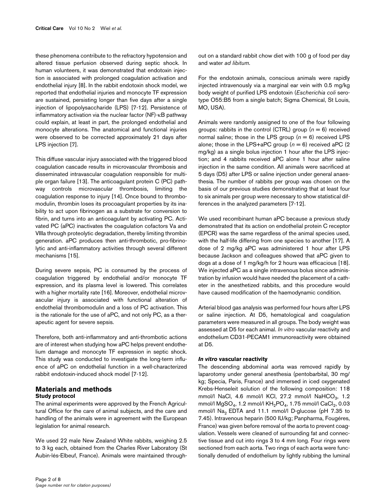these phenomena contribute to the refractory hypotension and altered tissue perfusion observed during septic shock. In human volunteers, it was demonstrated that endotoxin injection is associated with prolonged coagulation activation and endothelial injury [8]. In the rabbit endotoxin shock model, we reported that endothelial injuries and monocyte TF expression are sustained, persisting longer than five days after a single injection of lipopolysaccharide (LPS) [7-12]. Persistence of inflammatory activation via the nuclear factor (NF)-κB pathway could explain, at least in part, the prolonged endothelial and monocyte alterations. The anatomical and functional injuries were observed to be corrected approximately 21 days after LPS injection [7].

This diffuse vascular injury associated with the triggered blood coagulation cascade results in microvascular thrombosis and disseminated intravascular coagulation responsible for multiple organ failure [13]. The anticoagulant protein C (PC) pathway controls microvascular thrombosis, limiting the coagulation response to injury [14]. Once bound to thrombomodulin, thrombin loses its procoagulant properties by its inability to act upon fibrinogen as a substrate for conversion to fibrin, and turns into an anticoagulant by activating PC. Activated PC (aPC) inactivates the coagulation cofactors Va and VIIIa through proteolytic degradation, thereby limiting thrombin generation. aPC produces then anti-thrombotic, pro-fibrinolytic and anti-inflammatory activities through several different mechanisms [15].

During severe sepsis, PC is consumed by the process of coagulation triggered by endothelial and/or monocyte TF expression, and its plasma level is lowered. This correlates with a higher mortality rate [16]. Moreover, endothelial microvascular injury is associated with functional alteration of endothelial thrombomodulin and a loss of PC activation. This is the rationale for the use of aPC, and not only PC, as a therapeutic agent for severe sepsis.

Therefore, both anti-inflammatory and anti-thrombotic actions are of interest when studying how aPC helps prevent endothelium damage and monocyte TF expression in septic shock. This study was conducted to investigate the long-term influence of aPC on endothelial function in a well-characterized rabbit endotoxin-induced shock model [7-12].

### **Materials and methods Study protocol**

The animal experiments were approved by the French Agricultural Office for the care of animal subjects, and the care and handling of the animals were in agreement with the European legislation for animal research.

We used 22 male New Zealand White rabbits, weighing 2.5 to 3 kg each, obtained from the Charles River Laboratory (St Aubin-lés-Elbeuf, France). Animals were maintained throughFor the endotoxin animals, conscious animals were rapidly injected intravenously via a marginal ear vein with 0.5 mg/kg body weight of purified LPS endotoxin (Escherichia coli serotype O55:B5 from a single batch; Sigma Chemical, St Louis, MO, USA).

Animals were randomly assigned to one of the four following groups: rabbits in the control (CTRL) group  $(n = 6)$  received normal saline; those in the LPS group  $(n = 6)$  received LPS alone; those in the LPS+aPC group ( $n = 6$ ) received aPC (2) mg/kg) as a single bolus injection 1 hour after the LPS injection; and 4 rabbits received aPC alone 1 hour after saline injection in the same condition. All animals were sacrificed at 5 days (D5) after LPS or saline injection under general anaesthesia. The number of rabbits per group was chosen on the basis of our previous studies demonstrating that at least four to six animals per group were necessary to show statistical differences in the analyzed parameters [7-12].

We used recombinant human aPC because a previous study demonstrated that its action on endothelial protein C receptor (EPCR) was the same regardless of the animal species used, with the half-life differing from one species to another [17]. A dose of 2 mg/kg aPC was administered 1 hour after LPS because Jackson and colleagues showed that aPC given to dogs at a dose of 1 mg/kg/h for 2 hours was efficacious [18]. We injected aPC as a single intravenous bolus since administration by infusion would have needed the placement of a catheter in the anesthetized rabbits, and this procedure would have caused modification of the haemodynamic condition.

Arterial blood gas analysis was performed four hours after LPS or saline injection. At D5, hematological and coagulation parameters were measured in all groups. The body weight was assessed at D5 for each animal. In vitro vascular reactivity and endothelium CD31-PECAM1 immunoreactivity were obtained at D5.

### **In vitro vascular reactivity**

The descending abdominal aorta was removed rapidly by laparotomy under general anesthesia (pentobarbital, 30 mg/ kg; Specia, Paris, France) and immersed in iced oxygenated Krebs-Henseleit solution of the following composition: 118 mmol/l NaCl, 4.6 mmol/l KCl, 27.2 mmol/l NaHCO $_{\rm 3}$ , 1.2 mmol/l  $\mathsf{MgSO}_4$ , 1.2 mmol/l  $\mathsf{KH}_2\mathsf{PO}_4$ , 1.75 mmol/l  $\mathsf{CaCl}_2$ , 0.03 mmol/l Na<sub>2</sub> EDTA and 11.1 mmol/l D-glucose (pH 7.35 to 7.45). Intravenous heparin (500 IU/kg; Panpharma, Fougéres, France) was given before removal of the aorta to prevent coagulation. Vessels were cleaned of surrounding fat and connective tissue and cut into rings 3 to 4 mm long. Four rings were sectioned from each aorta. Two rings of each aorta were functionally denuded of endothelium by lightly rubbing the luminal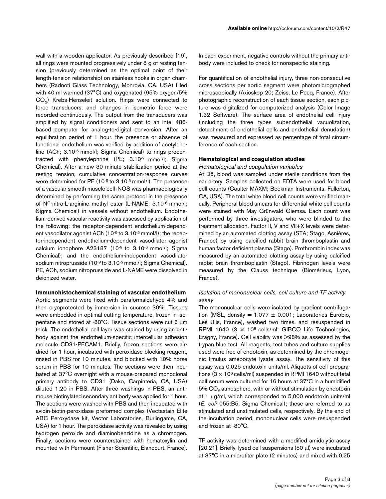wall with a wooden applicator. As previously described [19], all rings were mounted progressively under 8 g of resting tension (previously determined as the optimal point of their length-tension relationship) on stainless hooks in organ chambers (Radnoti Glass Technology, Monrovia, CA, USA) filled with 40 ml warmed (37°C) and oxygenated (95% oxygen/5%  $\mathrm{CO}_2$ ) Krebs-Henseleit solution. Rings were connected to force transducers, and changes in isometric force were recorded continuously. The output from the transducers was amplified by signal conditioners and sent to an Intel 486 based computer for analog-to-digital conversion. After an equilibration period of 1 hour, the presence or absence of functional endothelium was verified by addition of acetylcholine (ACh; 3.10-5 mmol/l; Sigma Chemical) to rings precontracted with phenylephrine (PE; 3.10-7 mmol/l; Sigma Chemical). After a new 30 minute stabilization period at the resting tension, cumulative concentration-response curves were determined for PE (10-9 to 3.10-5 mmol/l). The presence of a vascular smooth muscle cell iNOS was pharmacologically determined by performing the same protocol in the presence of N<sup>G</sup>-nitro-L-arginine methyl ester (L-NAME; 3.10-6 mmol/l; Sigma Chemical) in vessels without endothelium. Endothelium-derived vascular reactivity was assessed by application of the following: the receptor-dependent endothelium-dependent vasodilator agonist ACh (10<sup>-9</sup> to 3.10<sup>-5</sup> mmol/l); the receptor-independent endothelium-dependent vasodilator agonist calcium ionophore A23187 (10-9 to 3.10-6 mmol/l; Sigma Chemical); and the endothelium-independent vasodilator sodium nitroprusside (10<sup>-9</sup> to 3.10<sup>-5</sup> mmol/l; Sigma Chemical). PE, ACh, sodium nitroprusside and L-NAME were dissolved in deionized water.

#### **Immunohistochemical staining of vascular endothelium**

Aortic segments were fixed with paraformaldehyde 4% and then cryoprotected by immersion in sucrose 30%. Tissues were embedded in optimal cutting temperature, frozen in isopentane and stored at -80°C. Tissue sections were cut 6 µm thick. The endothelial cell layer was stained by using an antibody against the endothelium-specific intercellular adhesion molecule CD31-PECAM1. Briefly, frozen sections were airdried for 1 hour, incubated with peroxidase blocking reagent, rinsed in PBS for 10 minutes, and blocked with 10% horse serum in PBS for 10 minutes. The sections were then incubated at 37°C overnight with a mouse-prepared monoclonal primary antibody to CD31 (Dako, Carpinteria, CA, USA) diluted 1:20 in PBS. After three washings in PBS, an antimouse biotinylated secondary antibody was applied for 1 hour. The sections were washed with PBS and then incubated with avidin-biotin-peroxidase preformed complex (Vectastain Elite ABC Peroxydase kit, Vector Laboratories, Burlingame, CA, USA) for 1 hour. The peroxidase activity was revealed by using hydrogen peroxide and diaminobenzidine as a chromogen. Finally, sections were counterstained with hematoxylin and mounted with Permount (Fisher Scientific, Elancourt, France).

In each experiment, negative controls without the primary antibody were included to check for nonspecific staining.

For quantification of endothelial injury, three non-consecutive cross sections per aortic segment were photomicrographed microscopically (Axioskop 20; Zeiss, Le Pecq, France). After photographic reconstruction of each tissue section, each picture was digitalized for computerized analysis (Color Image 1.32 Software). The surface area of endothelial cell injury (including the three types subendothelial vacuolization, detachment of endothelial cells and endothelial denudation) was measured and expressed as percentage of total circumference of each section.

### **Hematological and coagulation studies**

### Hematological and coagulation variables

At D5, blood was sampled under sterile conditions from the ear artery. Samples collected on EDTA were used for blood cell counts (Coulter MAXM; Beckman Instruments, Fullerton, CA, USA). The total white blood cell counts were verified manually. Peripheral blood smears for differential white cell counts were stained with May Grünwald Giemsa. Each count was performed by three investigators, who were blinded to the treatment allocation. Factor II, V and VII+X levels were determined by an automated clotting assay (STA; Stago, Asnières, France) by using calcified rabbit brain thromboplastin and human factor deficient plasma (Stago). Prothrombin index was measured by an automated clotting assay by using calcified rabbit brain thromboplastin (Stago). Fibrinogen levels were measured by the Clauss technique (Biomérieux, Lyon, France).

### Isolation of mononuclear cells, cell culture and TF activity assay

The mononuclear cells were isolated by gradient centrifugation (MSL, density =  $1.077 \pm 0.001$ ; Laboratories Eurobio, Les Ulis, France), washed two times, and resuspended in RPMI 1640 (3  $\times$  10<sup>6</sup> cells/ml; GIBCO Life Technologies, Eragny, France). Cell viability was >98% as assessed by the trypan blue test. All reagents, test tubes and culture supplies used were free of endotoxin, as determined by the chromogenic limulus amebocyte lysate assay. The sensitivity of this assay was 0.025 endotoxin units/ml. Aliquots of cell preparations  $(3 \times 10^6 \text{ cells/ml})$  suspended in RPMI 1640 without fetal calf serum were cultured for 16 hours at 37°C in a humidified  $5\%$  CO<sub>2</sub> atmosphere, with or without stimulation by endotoxin at 1 µg/ml, which corresponded to 5,000 endotoxin units/ml (E. coli 055:B5, Sigma Chemical); these are referred to as stimulated and unstimulated cells, respectively. By the end of the incubation period, mononuclear cells were resuspended and frozen at -80°C.

TF activity was determined with a modified amidolytic assay [20,21]. Briefly, lysed cell suspensions (50 µl) were incubated at 37°C in a microtiter plate (2 minutes) and mixed with 0.25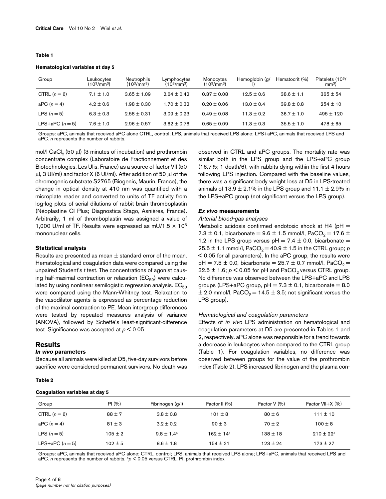#### **Table 1**

#### **Hematological variables at day 5**

| Hematological variables at day 5 |                                                   |                                                    |                                                    |                                                  |                |                |                                    |  |  |  |
|----------------------------------|---------------------------------------------------|----------------------------------------------------|----------------------------------------------------|--------------------------------------------------|----------------|----------------|------------------------------------|--|--|--|
| Group                            | Leukocytes<br>(10 <sup>3</sup> /mm <sup>3</sup> ) | Neutrophils<br>(10 <sup>3</sup> /mm <sup>3</sup> ) | Lymphocytes<br>(10 <sup>3</sup> /mm <sup>3</sup> ) | Monocytes<br>(10 <sup>3</sup> /mm <sup>3</sup> ) | Hemoglobin (g/ | Hematocrit (%) | Platelets (103/<br>mm <sup>3</sup> |  |  |  |
| CTRL $(n = 6)$                   | $7.1 \pm 1.0$                                     | $3.65 \pm 1.09$                                    | $2.64 \pm 0.42$                                    | $0.37 \pm 0.08$                                  | $12.5 \pm 0.6$ | $38.6 \pm 1.1$ | $365 \pm 54$                       |  |  |  |
| aPC $(n=4)$                      | $4.2 \pm 0.6$                                     | $1.98 \pm 0.30$                                    | $1.70 \pm 0.32$                                    | $0.20 \pm 0.06$                                  | $13.0 \pm 0.4$ | $39.8 \pm 0.8$ | $254 \pm 10$                       |  |  |  |
| LPS $(n=5)$                      | $6.3 \pm 0.3$                                     | $2.58 \pm 0.31$                                    | $3.09 \pm 0.23$                                    | $0.49 \pm 0.08$                                  | $11.3 \pm 0.2$ | $36.7 \pm 1.0$ | $495 \pm 120$                      |  |  |  |
| LPS+aPC $(n=5)$                  | $7.6 \pm 1.0$                                     | $2.96 \pm 0.57$                                    | $3.62 \pm 0.76$                                    | $0.65 \pm 0.09$                                  | $11.3 \pm 0.3$ | $35.5 \pm 1.0$ | $478 \pm 65$                       |  |  |  |
|                                  |                                                   |                                                    |                                                    |                                                  |                |                |                                    |  |  |  |

Groups: aPC, animals that received aPC alone CTRL, control; LPS, animals that received LPS alone; LPS+aPC, animals that received LPS and aPC. *n* represents the number of rabbits.

mol/l CaCl<sub>2</sub> (50  $\mu$ l) (3 minutes of incubation) and prothrombin concentrate complex (Laboratoire de Fractionnement et des Biotechnologies, Les Ulis, France) as a source of factor VII (50  $\mu$ l, 3 UI/ml) and factor X (6 UI/ml). After addition of 50  $\mu$ l of the chromogenic substrate S2765 (Biogenic, Maurin, France), the change in optical density at 410 nm was quantified with a microplate reader and converted to units of TF activity from log-log plots of serial dilutions of rabbit brain thromboplastin (Néoplastine CI Plus; Diagnostica Stago, Asnières, France). Arbitrarily, 1 ml of thromboplastin was assigned a value of 1,000 U/ml of TF. Results were expressed as mU/1.5  $\times$  10<sup>5</sup> mononuclear cells.

#### **Statistical analysis**

Results are presented as mean  $\pm$  standard error of the mean. Hematological and coagulation data were compared using the unpaired Student's t test. The concentrations of agonist causing half-maximal contraction or relaxation ( $EC_{50}$ ) were calculated by using nonlinear semilogistic regression analysis.  $EC_{50}$ were compared using the Mann-Whitney test. Relaxation to the vasodilator agents is expressed as percentage reduction of the maximal contraction to PE. Mean intergroup differences were tested by repeated measures analysis of variance (ANOVA), followed by Scheffé's least-significant-difference test. Significance was accepted at  $p < 0.05$ .

#### **Results**

**Table 2**

#### **In vivo parameters**

Because all animals were killed at D5, five-day survivors before sacrifice were considered permanent survivors. No death was

### observed in CTRL and aPC groups. The mortality rate was similar both in the LPS group and the LPS+aPC group (16.7%; 1 death/6), with rabbits dying within the first 4 hours following LPS injection. Compared with the baseline values, there was a significant body weight loss at D5 in LPS-treated animals of  $13.9 \pm 2.1\%$  in the LPS group and  $11.1 \pm 2.9\%$  in the LPS+aPC group (not significant versus the LPS group).

### **Ex vivo measurements**

### Arterial blood-gas analyses

Metabolic acidosis confirmed endotoxic shock at H4 ( $pH =$ 7.3  $\pm$  0.1, bicarbonate = 9.6  $\pm$  1.5 mmol/l, PaCO<sub>2</sub> = 17.6  $\pm$ 1.2 in the LPS group versus  $pH = 7.4 \pm 0.0$ , bicarbonate = 25.5  $\pm$  1.1 mmol/l, PaCO<sub>2</sub> = 40.9  $\pm$  1.5 in the CTRL group; p < 0.05 for all parameters). In the aPC group, the results were  $pH = 7.5 \pm 0.0$ , bicarbonate = 25.7  $\pm$  0.7 mmol/l, PaCO<sub>2</sub> = 32.5  $\pm$  1.6;  $p < 0.05$  for pH and PaCO<sub>2</sub> versus CTRL group. No difference was observed between the LPS+aPC and LPS groups (LPS+aPC group,  $pH = 7.3 \pm 0.1$ , bicarbonate = 8.0  $\pm$  2.0 mmol/l, PaCO<sub>2</sub> = 14.5  $\pm$  3.5; not significant versus the LPS group).

### Hematological and coagulation parameters

Effects of in vivo LPS administration on hematological and coagulation parameters at D5 are presented in Tables 1 and 2, respectively. aPC alone was responsible for a trend towards a decrease in leukocytes when compared to the CTRL group (Table 1). For coagulation variables, no difference was observed between groups for the value of the prothrombin index (Table 2). LPS increased fibrinogen and the plasma con-

| Coagulation variables at day 5 |             |                       |               |              |                  |  |  |  |  |
|--------------------------------|-------------|-----------------------|---------------|--------------|------------------|--|--|--|--|
| Group                          | PI(96)      | Fibrinogen (g/l)      | Factor II (%) | Factor V (%) | Factor VII+X (%) |  |  |  |  |
| CTRL $(n=6)$                   | $88 \pm 7$  | $3.8 \pm 0.8$         | $101 \pm 8$   | $80 \pm 6$   | $111 \pm 10$     |  |  |  |  |
| aPC $(n=4)$                    | $81 \pm 3$  | $3.2 \pm 0.2$         | $90 \pm 3$    | $70 \pm 2$   | $100 \pm 8$      |  |  |  |  |
| LPS $(n=5)$                    | $105 \pm 2$ | $9.8 \pm 1.4^{\circ}$ | $169 + 14a$   | $138 \pm 18$ | $910 + 99a$      |  |  |  |  |
| LPS+aPC $(n=5)$                | $102 \pm 5$ | $8.6 \pm 1.8$         | 154 ± 21      | $123 + 24$   | $173 \pm 27$     |  |  |  |  |

Groups: aPC, animals that received aPC alone; CTRL, control; LPS, animals that received LPS alone; LPS+aPC, animals that received LPS and aPC. *n* represents the number of rabbits.  $a_p < 0.05$  versus CTRL. PI, prothrombin index.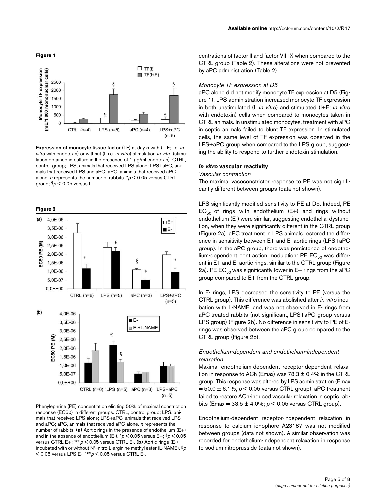



Expression of monocyte tissue factor (TF) at day 5 with (I+E; i.e. in vitro with endotoxin) or without (I; i.e. in vitro) stimulation in vitro (stimulation obtained in culture in the presence of 1 µg/ml endotoxin). CTRL, control group; LPS, animals that received LPS alone; LPS+aPC, animals that received LPS and aPC; aPC, animals that received aPC alone. *n* represents the number of rabbits.  $p < 0.05$  versus CTRL group;  $\frac{6}{5}p < 0.05$  versus I.



Phenylephrine (PE) concentration eliciting 50% of maximal constriction response (EC50) in different groups. CTRL, control group; LPS, animals that received LPS alone; LPS+aPC, animals that received LPS and aPC; aPC, animals that received aPC alone. n represents the number of rabbits. (a) Aortic rings in the presence of endothelium (E+) and in the absence of endothelium (E-).  $p < 0.05$  versus E+;  $9p < 0.05$ versus CTRL E+;  $163p < 0.05$  versus CTRL E-. (b) Aortic rings (E-) incubated with or without N<sup>G</sup>-nitro-L-arginine methyl ester (L-NAME). §p  $<$  0.05 versus LPS E-;  $163p < 0.05$  versus CTRL E-.

centrations of factor II and factor VII+X when compared to the CTRL group (Table 2). These alterations were not prevented by aPC administration (Table 2).

### Monocyte TF expression at D5

aPC alone did not modify monocyte TF expression at D5 (Figure 1). LPS administration increased monocyte TF expression in both unstimulated (I; in vitro) and stimulated (I+E; in vitro with endotoxin) cells when compared to monocytes taken in CTRL animals. In unstimulated monocytes, treatment with aPC in septic animals failed to blunt TF expression. In stimulated cells, the same level of TF expression was observed in the LPS+aPC group when compared to the LPS group, suggesting the ability to respond to further endotoxin stimulation.

### **In vitro vascular reactivity**

#### Vascular contraction

The maximal vasoconstrictor response to PE was not significantly different between groups (data not shown).

LPS significantly modified sensitivity to PE at D5. Indeed, PE  $EC_{50}$  of rings with endothelium (E+) and rings without endothelium (E-) were similar, suggesting endothelial dysfunction, when they were significantly different in the CTRL group (Figure 2a). aPC treatment in LPS animals restored the difference in sensitivity between E+ and E- aortic rings (LPS+aPC group). In the aPC group, there was persistence of endothelium-dependent contraction modulation: PE  $EC_{50}$  was different in E+ and E- aortic rings, similar to the CTRL group (Figure 2a). PE  $EC_{50}$  was significantly lower in  $E+$  rings from the aPC group compared to E+ from the CTRL group.

In E- rings, LPS decreased the sensitivity to PE (versus the CTRL group). This difference was abolished after in vitro incubation with L-NAME, and was not observed in E- rings from aPC-treated rabbits (not significant, LPS+aPC group versus LPS group) (Figure 2b). No difference in sensitivity to PE of Erings was observed between the aPC group compared to the CTRL group (Figure 2b).

### Endothelium-dependent and endothelium-independent relaxation

Maximal endothelium-dependent receptor-dependent relaxation in response to ACh (Emax) was  $78.3 \pm 0.4\%$  in the CTRL group. This response was altered by LPS administration (Emax  $= 50.0 \pm 6.1\%$ ,  $p \le 0.05$  versus CTRL group). aPC treatment failed to restore ACh-induced vascular relaxation in septic rabbits (Emax =  $33.5 \pm 4.0\%$ ;  $p < 0.05$  versus CTRL group).

Endothelium-dependent receptor-independent relaxation in response to calcium ionophore A23187 was not modified between groups (data not shown). A similar observation was recorded for endothelium-independent relaxation in response to sodium nitroprusside (data not shown).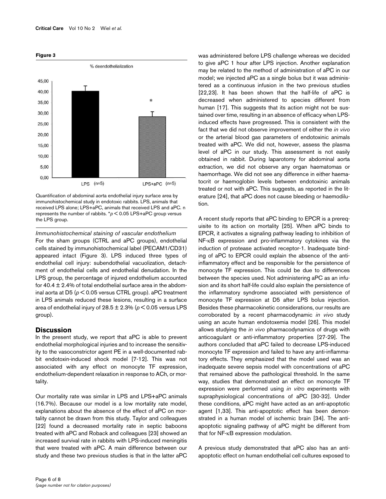#### **Figure 3**



Quantification of abdominal aorta endothelial injury surface area by immunohistochemical study in endotoxic rabbits. LPS, animals that received LPS alone; LPS+aPC, animals that received LPS and aPC. n represents the number of rabbits.  $p < 0.05$  LPS+aPC group versus the LPS group.

Immunohistochemical staining of vascular endothelium For the sham groups (CTRL and aPC groups), endothelial cells stained by immunohistochemical label (PECAM1/CD31) appeared intact (Figure 3). LPS induced three types of endothelial cell injury: subendothelial vacuolization, detachment of endothelial cells and endothelial denudation. In the LPS group, the percentage of injured endothelium accounted for  $40.4 \pm 2.4$ % of total endothelial surface area in the abdominal aorta at D5 ( $p < 0.05$  versus CTRL group). aPC treatment in LPS animals reduced these lesions, resulting in a surface area of endothelial injury of 28.5  $\pm$  2.3% ( $p$  < 0.05 versus LPS group).

### **Discussion**

In the present study, we report that aPC is able to prevent endothelial morphological injuries and to increase the sensitivity to the vasoconstrictor agent PE in a well-documented rabbit endotoxin-induced shock model [7-12]. This was not associated with any effect on monocyte TF expression, endothelium-dependent relaxation in response to ACh, or mortality.

Our mortality rate was similar in LPS and LPS+aPC animals (16.7%). Because our model is a low mortality rate model, explanations about the absence of the effect of aPC on mortality cannot be drawn from this study. Taylor and colleagues [22] found a decreased mortality rate in septic baboons treated with aPC and Roback and colleagues [23] showed an increased survival rate in rabbits with LPS-induced meningitis that were treated with aPC. A main difference between our study and these two previous studies is that in the latter aPC

was administered before LPS challenge whereas we decided to give aPC 1 hour after LPS injection. Another explanation may be related to the method of administration of aPC in our model; we injected aPC as a single bolus but it was administered as a continuous infusion in the two previous studies [22,23]. It has been shown that the half-life of aPC is decreased when administered to species different from human [17]. This suggests that its action might not be sustained over time, resulting in an absence of efficacy when LPSinduced effects have progressed. This is consistent with the fact that we did not observe improvement of either the in vivo or the arterial blood gas parameters of endotoxinic animals treated with aPC. We did not, however, assess the plasma level of aPC in our study. This assessment is not easily obtained in rabbit. During laparotomy for abdominal aorta extraction, we did not observe any organ haematomas or haemorrhage. We did not see any difference in either haematocrit or haemoglobin levels between endotoxinic animals treated or not with aPC. This suggests, as reported in the literature [24], that aPC does not cause bleeding or haemodilution.

A recent study reports that aPC binding to EPCR is a prerequisite to its action on mortality [[25\]](#page-8-1). When aPC binds to EPCR, it activates a signaling pathway leading to inhibition of NF-κB expression and pro-inflammatory cytokines via the induction of protease activated receptor-1. Inadequate binding of aPC to EPCR could explain the absence of the antiinflammatory effect and be responsible for the persistence of monocyte TF expression. This could be due to differences between the species used. Not administering aPC as an infusion and its short half-life could also explain the persistence of the inflammatory syndrome associated with persistence of monocyte TF expression at D5 after LPS bolus injection. Besides these pharmacokinetic considerations, our results are corroborated by a recent pharmacodynamic in vivo study using an acute human endotoxemia model [26]. This model allows studying the in vivo pharmacodynamics of drugs with anticoagulant or anti-inflammatory properties [27-29]. The authors concluded that aPC failed to decrease LPS-induced monocyte TF expression and failed to have any anti-inflammatory effects. They emphasized that the model used was an inadequate severe sepsis model with concentrations of aPC that remained above the pathological threshold. In the same way, studies that demonstrated an effect on monocyte TF expression were performed using in vitro experiments with supraphysiological concentrations of aPC [30-32]. Under these conditions, aPC might have acted as an anti-apoptotic agent [1,33]. This anti-apoptotic effect has been demonstrated in a human model of ischemic brain [34]. The antiapoptotic signaling pathway of aPC might be different from that for NF-κB expression modulation.

A previous study demonstrated that aPC also has an antiapoptotic effect on human endothelial cell cultures exposed to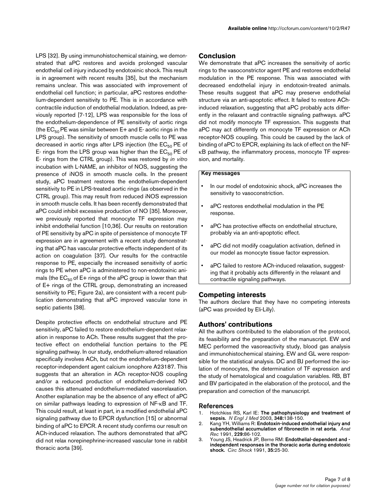LPS [32]. By using immunohistochemical staining, we demonstrated that aPC restores and avoids prolonged vascular endothelial cell injury induced by endotoxinic shock. This result is in agreement with recent results [35], but the mechanism remains unclear. This was associated with improvement of endothelial cell function; in particular, aPC restores endothelium-dependent sensitivity to PE. This is in accordance with contractile induction of endothelial modulation. Indeed, as previously reported [7-12], LPS was responsible for the loss of the endothelium-dependence of PE sensitivity of aortic rings (the  $EC_{50}$  PE was similar between E+ and E- aortic rings in the LPS group). The sensitivity of smooth muscle cells to PE was decreased in aortic rings after LPS injection (the  $EC_{50}$  PE of E- rings from the LPS group was higher than the  $EC_{50}$  PE of E- rings from the CTRL group). This was restored by in vitro incubation with L-NAME, an inhibitor of NOS, suggesting the presence of iNOS in smooth muscle cells. In the present study, aPC treatment restores the endothelium-dependent sensitivity to PE in LPS-treated aortic rings (as observed in the CTRL group). This may result from reduced iNOS expression in smooth muscle cells. It has been recently demonstrated that aPC could inhibit excessive production of NO [35]. Moreover, we previously reported that monocyte TF expression may inhibit endothelial function [10,36]. Our results on restoration of PE sensitivity by aPC in spite of persistence of monocyte TF expression are in agreement with a recent study demonstrating that aPC has vascular protective effects independent of its action on coagulation [37]. Our results for the contractile response to PE, especially the increased sensitivity of aortic rings to PE when aPC is administered to non-endotoxinic animals (the  $EC_{50}$  of E+ rings of the aPC group is lower than that of E+ rings of the CTRL group, demonstrating an increased sensitivity to PE; Figure 2a), are consistent with a recent publication demonstrating that aPC improved vascular tone in septic patients [38].

Despite protective effects on endothelial structure and PE sensitivity, aPC failed to restore endothelium-dependent relaxation in response to ACh. These results suggest that the protective effect on endothelial function pertains to the PE signaling pathway. In our study, endothelium-altered relaxation specifically involves ACh, but not the endothelium-dependent receptor-independent agent calcium ionophore A23187. This suggests that an alteration in ACh receptor-NOS coupling and/or a reduced production of endothelium-derived NO causes this attenuated endothelium-mediated vasorelaxation. Another explanation may be the absence of any effect of aPC on similar pathways leading to expression of NF-κB and TF. This could result, at least in part, in a modified endothelial aPC signaling pathway due to EPCR dysfunction [15] or abnormal binding of aPC to EPCR. A recent study confirms our result on ACh-induced relaxation. The authors demonstrated that aPC did not relax norepinephrine-increased vascular tone in rabbit thoracic aorta [39].

### **Conclusion**

We demonstrate that aPC increases the sensitivity of aortic rings to the vasoconstrictor agent PE and restores endothelial modulation in the PE response. This was associated with decreased endothelial injury in endotoxin-treated animals. These results suggest that aPC may preserve endothelial structure via an anti-apoptotic effect. It failed to restore AChinduced relaxation, suggesting that aPC probably acts differently in the relaxant and contractile signaling pathways. aPC did not modify monocyte TF expression. This suggests that aPC may act differently on monocyte TF expression or ACh receptor-NOS coupling. This could be caused by the lack of binding of aPC to EPCR, explaining its lack of effect on the NFκB pathway, the inflammatory process, monocyte TF expression, and mortality.

### Key messages

- In our model of endotoxinic shock, aPC increases the sensitivity to vasoconstriction.
- aPC restores endothelial modulation in the PE response.
- aPC has protective effects on endothelial structure, probably via an anti-apoptotic effect.
- aPC did not modify coagulation activation, defined in our model as monocyte tissue factor expression.
- aPC failed to restore ACh-induced relaxation, suggesting that it probably acts differently in the relaxant and contractile signaling pathways.

### **Competing interests**

The authors declare that they have no competing interests (aPC was provided by Eli-Lilly).

### **Authors' contributions**

All the authors contributed to the elaboration of the protocol, its feasibility and the preparation of the manuscript. EW and MEC performed the vasoreactivity study, blood gas analysis and immunohistochemical staining. EW and GL were responsible for the statistical analysis. DC and BJ performed the isolation of monocytes, the determination of TF expression and the study of hematological and coagulation variables. RB, BT and BV participated in the elaboration of the protocol, and the preparation and correction of the manuscript.

### References

- 1. Hotchkiss RS, Karl IE: [The pathophysiology and treatment of](http://www.ncbi.nlm.nih.gov/entrez/query.fcgi?cmd=Retrieve&db=PubMed&dopt=Abstract&list_uids=12519925) [sepsis.](http://www.ncbi.nlm.nih.gov/entrez/query.fcgi?cmd=Retrieve&db=PubMed&dopt=Abstract&list_uids=12519925) N Engl J Med 2003, 348:138-150.
- 2. Kang YH, Williams R: [Endotoxin-induced endothelial injury and](http://www.ncbi.nlm.nih.gov/entrez/query.fcgi?cmd=Retrieve&db=PubMed&dopt=Abstract&list_uids=1996787) [subendothelial accumulation of fibronectin in rat aorta.](http://www.ncbi.nlm.nih.gov/entrez/query.fcgi?cmd=Retrieve&db=PubMed&dopt=Abstract&list_uids=1996787) Anat Rec 1991, 229:86-102.
- 3. Young JS, Headrick JP, Berne RM: [Endothelial-dependent and](http://www.ncbi.nlm.nih.gov/entrez/query.fcgi?cmd=Retrieve&db=PubMed&dopt=Abstract&list_uids=1742858)  [independent responses in the thoracic aorta during endotoxic](http://www.ncbi.nlm.nih.gov/entrez/query.fcgi?cmd=Retrieve&db=PubMed&dopt=Abstract&list_uids=1742858) [shock.](http://www.ncbi.nlm.nih.gov/entrez/query.fcgi?cmd=Retrieve&db=PubMed&dopt=Abstract&list_uids=1742858) Circ Shock 1991, 35:25-30.